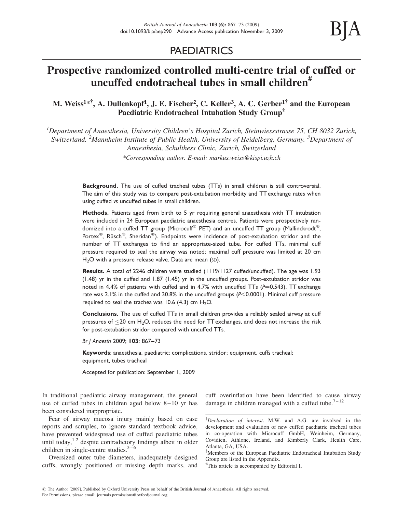# **PAEDIATRICS**

# Prospective randomized controlled multi-centre trial of cuffed or uncuffed endotracheal tubes in small children<sup>#</sup>

M. Weiss<sup>1\*†</sup>, A. Dullenkopf<sup>1</sup>, J. E. Fischer<sup>2</sup>, C. Keller<sup>3</sup>, A. C. Gerber<sup>1†</sup> and the European Paediatric Endotracheal Intubation Study Group‡

<sup>1</sup>Department of Anaesthesia, University Children's Hospital Zurich, Steinwiessstrasse 75, CH 8032 Zurich, Switzerland. <sup>2</sup>Mannheim Institute of Public Health, University of Heidelberg, Germany. <sup>3</sup>Department of Anaesthesia, Schulthess Clinic, Zurich, Switzerland

\*Corresponding author. E-mail: markus.weiss@kispi.uzh.ch

Background. The use of cuffed tracheal tubes (TTs) in small children is still controversial. The aim of this study was to compare post-extubation morbidity and TT exchange rates when using cuffed vs uncuffed tubes in small children.

Methods. Patients aged from birth to 5 yr requiring general anaesthesia with TT intubation were included in 24 European paediatric anaesthesia centres. Patients were prospectively randomized into a cuffed TT group (Microcuff<sup>®</sup> PET) and an uncuffed TT group (Mallinckrodt<sup>®</sup>, Portex $^{\circledR}$ , Rüsch $^{\circledR}$ , Sheridan $^{\circledR}$ ). Endpoints were incidence of post-extubation stridor and the number of TT exchanges to find an appropriate-sized tube. For cuffed TTs, minimal cuff pressure required to seal the airway was noted; maximal cuff pressure was limited at 20 cm  $H<sub>2</sub>O$  with a pressure release valve. Data are mean (SD).

Results. A total of 2246 children were studied (1119/1127 cuffed/uncuffed). The age was 1.93 (1.48) yr in the cuffed and 1.87 (1.45) yr in the uncuffed groups. Post-extubation stridor was noted in 4.4% of patients with cuffed and in 4.7% with uncuffed TTs ( $P=0.543$ ). TT exchange rate was 2.1% in the cuffed and 30.8% in the uncuffed groups ( $P<0.0001$ ). Minimal cuff pressure required to seal the trachea was 10.6 (4.3) cm  $H_2O$ .

Conclusions. The use of cuffed TTs in small children provides a reliably sealed airway at cuff pressures of  $\leq$ 20 cm H $_{2}$ O, reduces the need for TT exchanges, and does not increase the risk for post-extubation stridor compared with uncuffed TTs.

Br J Anaesth 2009; 103: 867–73

Keywords: anaesthesia, paediatric; complications, stridor; equipment, cuffs tracheal; equipment, tubes tracheal

Accepted for publication: September 1, 2009

In traditional paediatric airway management, the general use of cuffed tubes in children aged below 8–10 yr has been considered inappropriate.

Fear of airway mucosa injury mainly based on case reports and scruples, to ignore standard textbook advice, have prevented widespread use of cuffed paediatric tubes until today,  $12$  despite contradictory findings albeit in older children in single-centre studies. $3-6$ 

Oversized outer tube diameters, inadequately designed cuffs, wrongly positioned or missing depth marks, and cuff overinflation have been identified to cause airway damage in children managed with a cuffed tube.<sup>7-12</sup>

# This article is accompanied by Editorial I.

<sup>&</sup>lt;sup>†</sup>Declaration of interest. M.W. and A.G. are involved in the development and evaluation of new cuffed paediatric tracheal tubes in co-operation with Microcuff GmbH, Weinheim, Germany, Covidien, Athlone, Ireland, and Kimberly Clark, Health Care, Atlanta, GA, USA.

<sup>‡</sup> Members of the European Paediatric Endotracheal Intubation Study Group are listed in the Appendix.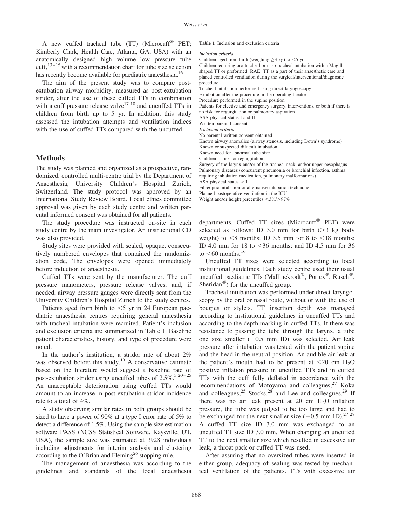A new cuffed tracheal tube  $(TT)$  (Microcuff<sup>®</sup> PET; Kimberly Clark, Health Care, Atlanta, GA, USA) with an anatomically designed high volume–low pressure tube  $\text{cnff}$ ,<sup>13–15</sup> with a recommendation chart for tube size selection has recently become available for paediatric anaesthesia.<sup>16</sup>

The aim of the present study was to compare postextubation airway morbidity, measured as post-extubation stridor, after the use of these cuffed TTs in combination with a cuff pressure release valve<sup>17 18</sup> and uncuffed TTs in children from birth up to 5 yr. In addition, this study assessed the intubation attempts and ventilation indices with the use of cuffed TTs compared with the uncuffed.

#### Methods

The study was planned and organized as a prospective, randomized, controlled multi-centre trial by the Department of Anaesthesia, University Children's Hospital Zurich, Switzerland. The study protocol was approved by an International Study Review Board. Local ethics committee approval was given by each study centre and written parental informed consent was obtained for all patients.

The study procedure was instructed on-site in each study centre by the main investigator. An instructional CD was also provided.

Study sites were provided with sealed, opaque, consecutively numbered envelopes that contained the randomization code. The envelopes were opened immediately before induction of anaesthesia.

Cuffed TTs were sent by the manufacturer. The cuff pressure manometers, pressure release valves, and, if needed, airway pressure gauges were directly sent from the University Children's Hospital Zurich to the study centres.

Patients aged from birth to  $\leq 5$  yr in 24 European paediatric anaesthesia centres requiring general anaesthesia with tracheal intubation were recruited. Patient's inclusion and exclusion criteria are summarized in Table 1. Baseline patient characteristics, history, and type of procedure were noted.

In the author's institution, a stridor rate of about 2% was observed before this study.<sup>19</sup> A conservative estimate based on the literature would suggest a baseline rate of post-extubation stridor using uncuffed tubes of  $2.5\%$ .<sup>3 20–25</sup> An unacceptable deterioration using cuffed TTs would amount to an increase in post-extubation stridor incidence rate to a total of 4%.

A study observing similar rates in both groups should be sized to have a power of 90% at a type I error rate of 5% to detect a difference of 1.5%. Using the sample size estimation software PASS (NCSS Statistical Software, Kaysville, UT, USA), the sample size was estimated at 3928 individuals including adjustments for interim analysis and clustering according to the O'Brian and Fleming<sup>26</sup> stopping rule.

The management of anaesthesia was according to the guidelines and standards of the local anaesthesia Table 1 Inclusion and exclusion criteria

```
Inclusion criteria
```
Children aged from birth (weighing  $\geq$ 3 kg) to  $\leq$ 5 yr Children requiring oro-tracheal or naso-tracheal intubation with a Magill shaped TT or preformed (RAE) TT as a part of their anaesthetic care and planed controlled ventilation during the surgical/interventional/diagnostic procedure Tracheal intubation performed using direct laryngoscopy Extubation after the procedure in the operating theatre Procedure performed in the supine position Patients for elective and emergency surgery, interventions, or both if there is no risk for regurgitation or pulmonary aspiration ASA physical status I and II Written parental consent Exclusion criteria No parental written consent obtained Known airway anomalies (airway stenosis, including Down's syndrome) Known or suspected difficult intubation Known need for abnormal tube size Children at risk for regurgitation Surgery of the larynx and/or of the trachea, neck, and/or upper oesophagus Pulmonary diseases (concurrent pneumonia or bronchial infection, asthma requiring inhalation medication, pulmonary malformations) ASA physical status  $>$ II Fibreoptic intubation or alternative intubation technique Planned postoperative ventilation in the ICU

Weight and/or height percentiles  $\langle 3\% \rangle$  > 97%

departments. Cuffed TT sizes (Microcuff® PET) were selected as follows: ID 3.0 mm for birth  $(>3 \text{ kg}$  body weight) to  $\leq 8$  months; ID 3.5 mm for 8 to  $\leq 18$  months; ID 4.0 mm for 18 to  $\leq$ 36 months; and ID 4.5 mm for 36 to  $\leq 60$  months.<sup>16</sup>

Uncuffed TT sizes were selected according to local institutional guidelines. Each study centre used their usual uncuffed paediatric TTs (Mallinckrodt®, Portex®, Rüsch®, Sheridan<sup>®</sup>) for the uncuffed group.

Tracheal intubation was performed under direct laryngoscopy by the oral or nasal route, without or with the use of bougies or stylets. TT insertion depth was managed according to institutional guidelines in uncuffed TTs and according to the depth marking in cuffed TTs. If there was resistance to passing the tube through the larynx, a tube one size smaller  $(-0.5 \text{ mm} \text{ ID})$  was selected. Air leak pressure after intubation was tested with the patient supine and the head in the neutral position. An audible air leak at the patient's mouth had to be present at  $\leq 20$  cm H<sub>2</sub>O positive inflation pressure in uncuffed TTs and in cuffed TTs with the cuff fully deflated in accordance with the recommendations of Motoyama and colleagues, $27$  Koka and colleagues,  $25$  Stocks,  $28$  and Lee and colleagues.  $29$  If there was no air leak present at  $20 \text{ cm } H<sub>2</sub>O$  inflation pressure, the tube was judged to be too large and had to be exchanged for the next smaller size  $(-0.5 \text{ mm ID})$ .<sup>27 28</sup> A cuffed TT size ID 3.0 mm was exchanged to an uncuffed TT size ID 3.0 mm. When changing an uncuffed TT to the next smaller size which resulted in excessive air leak, a throat pack or cuffed TT was used.

After assuring that no oversized tubes were inserted in either group, adequacy of sealing was tested by mechanical ventilation of the patients. TTs with excessive air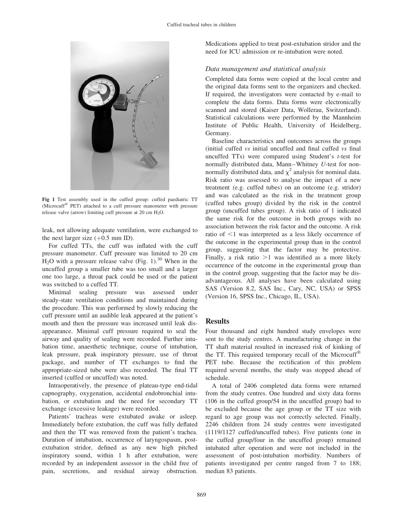

Fig 1 Test assembly used in the cuffed group: cuffed paediatric TT (Microcuff<sup>®</sup> PET) attached to a cuff pressure manometer with pressure release valve (arrow) limiting cuff pressure at  $20 \text{ cm H}_2\text{O}$ .

leak, not allowing adequate ventilation, were exchanged to the next larger size  $(+0.5$  mm ID).

For cuffed TTs, the cuff was inflated with the cuff pressure manometer. Cuff pressure was limited to 20 cm  $H<sub>2</sub>O$  with a pressure release valve (Fig. 1).<sup>30</sup> When in the uncuffed group a smaller tube was too small and a larger one too large, a throat pack could be used or the patient was switched to a cuffed TT.

Minimal sealing pressure was assessed under steady-state ventilation conditions and maintained during the procedure. This was performed by slowly reducing the cuff pressure until an audible leak appeared at the patient's mouth and then the pressure was increased until leak disappearance. Minimal cuff pressure required to seal the airway and quality of sealing were recorded. Further intubation time, anaesthetic technique, course of intubation, leak pressure, peak inspiratory pressure, use of throat package, and number of TT exchanges to find the appropriate-sized tube were also recorded. The final TT inserted (cuffed or uncuffed) was noted.

Intraoperatively, the presence of plateau-type end-tidal capnography, oxygenation, accidental endobronchial intubation, or extubation and the need for secondary TT exchange (excessive leakage) were recorded.

Patients' tracheas were extubated awake or asleep. Immediately before extubation, the cuff was fully deflated and then the TT was removed from the patient's trachea. Duration of intubation, occurrence of laryngospasm, postextubation stridor, defined as any new high pitched inspiratory sound, within 1 h after extubation, were recorded by an independent assessor in the child free of pain, secretions, and residual airway obstruction. Medications applied to treat post-extubation stridor and the need for ICU admission or re-intubation were noted.

#### Data management and statistical analysis

Completed data forms were copied at the local centre and the original data forms sent to the organizers and checked. If required, the investigators were contacted by e-mail to complete the data forms. Data forms were electronically scanned and stored (Kaiser Data, Wollerau, Switzerland). Statistical calculations were performed by the Mannheim Institute of Public Health, University of Heidelberg, Germany.

Baseline characteristics and outcomes across the groups (initial cuffed vs initial uncuffed and final cuffed vs final uncuffed  $TTs$ ) were compared using Student's *t*-test for normally distributed data, Mann–Whitney U-test for nonnormally distributed data, and  $\chi^2$  analysis for nominal data. Risk ratio was assessed to analyse the impact of a new treatment (e.g. cuffed tubes) on an outcome (e.g. stridor) and was calculated as the risk in the treatment group (cuffed tubes group) divided by the risk in the control group (uncuffed tubes group). A risk ratio of 1 indicated the same risk for the outcome in both groups with no association between the risk factor and the outcome. A risk ratio of  $\leq 1$  was interpreted as a less likely occurrence of the outcome in the experimental group than in the control group, suggesting that the factor may be protective. Finally, a risk ratio  $>1$  was identified as a more likely occurrence of the outcome in the experimental group than in the control group, suggesting that the factor may be disadvantageous. All analyses have been calculated using SAS (Version 8.2, SAS Inc., Cary, NC, USA) or SPSS (Version 16, SPSS Inc., Chicago, IL, USA).

#### **Results**

Four thousand and eight hundred study envelopes were sent to the study centres. A manufacturing change in the TT shaft material resulted in increased risk of kinking of the TT. This required temporary recall of the Microcuff<sup> $\omega$ </sup> PET tube. Because the rectification of this problem required several months, the study was stopped ahead of schedule.

A total of 2406 completed data forms were returned from the study centres. One hundred and sixty data forms (106 in the cuffed group/54 in the uncuffed group) had to be excluded because the age group or the TT size with regard to age group was not correctly selected. Finally, 2246 children from 24 study centres were investigated (1119/1127 cuffed/uncuffed tubes). Five patients (one in the cuffed group/four in the uncuffed group) remained intubated after operation and were not included in the assessment of post-intubation morbidity. Numbers of patients investigated per centre ranged from 7 to 188; median 83 patients.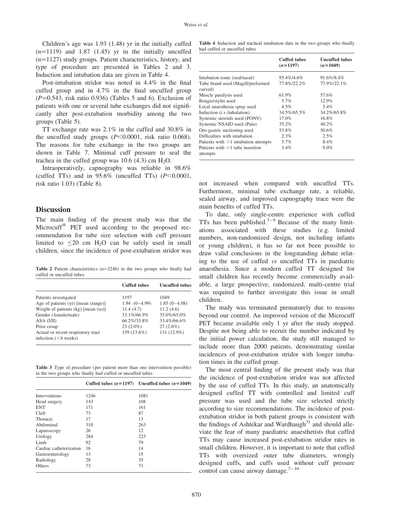Children's age was 1.93 (1.48) yr in the initially cuffed  $(n=1119)$  and 1.87 (1.45) yr in the initially uncuffed  $(n=1127)$  study groups. Patient characteristics, history, and type of procedure are presented in Tables 2 and 3. Induction and intubation data are given in Table 4.

Post-intubation stridor was noted in 4.4% in the final cuffed group and in 4.7% in the final uncuffed group  $(P=0.543,$  risk ratio 0.936) (Tables 5 and 6). Exclusion of patients with one or several tube exchanges did not significantly alter post-extubation morbidity among the two groups (Table 5).

TT exchange rate was 2.1% in the cuffed and 30.8% in the uncuffed study groups  $(P<0.0001$ , risk ratio 0.068). The reasons for tube exchange in the two groups are shown in Table 7. Minimal cuff pressure to seal the trachea in the cuffed group was  $10.6$  (4.3) cm  $H_2O$ .

Intraoperatively, capnography was reliable in 98.6% (cuffed TTs) and in  $95.6\%$  (uncuffed TTs) ( $P<0.0001$ , risk ratio 1.03) (Table 8).

#### **Discussion**

The main finding of the present study was that the Microcuff<sup>®</sup> PET used according to the proposed recommendation for tube size selection with cuff pressure limited to  $\leq$ 20 cm H<sub>2</sub>O can be safely used in small children, since the incidence of post-extubation stridor was

Table 2 Patient characteristics  $(n=2246)$  in the two groups who finally had cuffed or uncuffed tubes

|                                                               | <b>Cuffed tubes</b> | <b>Uncuffed tubes</b> |
|---------------------------------------------------------------|---------------------|-----------------------|
| Patients investigated                                         | 1197                | 1049                  |
| Age of patients (yr) [mean (range)]                           | $1.94(0-4.99)$      | $1.85(0-4.98)$        |
| Weight of patients $(kg)$ [mean $(sD)$ ]                      | 11.4(4.7)           | 11.2(4.6)             |
| Gender (female/male)                                          | 33.1%/66.9%         | 35.0%/65.0%           |
| $ASA$ (I/II)                                                  | 66.2%/33.8%         | 33.4%/66.6%           |
| Prior croup                                                   | $23(2.0\%)$         | $27(2.6\%)$           |
| Actual or recent respiratory tract<br>infection $(< 4$ weeks) | 159 (13.6%)         | 131 (12.9%)           |

Table 3 Type of procedure (per patient more than one intervention possible) in the two groups who finally had cuffed or uncuffed tubes

|                         |      | Cuffed tubes $(n=1197)$ Uncuffed tubes $(n=1049)$ |
|-------------------------|------|---------------------------------------------------|
| <b>Interventions</b>    | 1246 | 1081                                              |
| Head surgery            | 143  | 108                                               |
| <b>ENT</b>              | 171  | 161                                               |
| <b>Cleft</b>            | 73   | 87                                                |
| Thoracic                | 17   | 13                                                |
| Abdominal               | 310  | 263                                               |
| Laparoscopy             | 26   | 12                                                |
| Urology                 | 284  | 223                                               |
| Limb                    | 92   | 79                                                |
| Cardiac catheterization | 16   | 14                                                |
| Gastroenterology        | 13   | 15                                                |
| Radiology               | 28   | 35                                                |
| Others                  | 73   | 71                                                |

Table 4 Induction and tracheal intubation data in the two groups who finally had cuffed or uncuffed tubes

|                                               | Cuffed tubes<br>$(n=1197)$ | <b>Uncuffed tubes</b><br>$(n=1049)$ |
|-----------------------------------------------|----------------------------|-------------------------------------|
| Intubation route (oral/nasal)                 | 95.4%/4.6%                 | 91.6%/8.4%                          |
| Tube brand used (Magill/preformed<br>curved)  | 77.8%/22.2%                | 77.9%/22.1%                         |
| Muscle paralysis used                         | 61.9%                      | 57.6%                               |
| Bougie/stylet used                            | 5.7%                       | 12.9%                               |
| Local anaesthesia spray used                  | 4.5%                       | 5.4%                                |
| Induction ( <i>i.v.</i> /inhalation)          | 34.5%/65.5%                | 34.2%/65.8%                         |
| Systemic steroids used (PONV)                 | $17.0\%$                   | 16.8%                               |
| Systemic NSAID used (Pain)                    | 35.2%                      | 40.2%                               |
| Oro-gastric suctioning used                   | 53.8%                      | 50.6%                               |
| Difficulties with intubation                  | 2.3%                       | 2.5%                                |
| Patients with $>1$ intubation attempts        | 5.7%                       | 8.4%                                |
| Patients with $>1$ tube insertion<br>attempts | 3.4%                       | 9.0%                                |

not increased when compared with uncuffed TTs. Furthermore, minimal tube exchange rate, a reliable, sealed airway, and improved capnography trace were the main benefits of cuffed TTs.

To date, only single-centre experience with cuffed TTs has been published. $3-6$  Because of the many limitations associated with these studies (e.g. limited numbers, non-randomized design, not including infants or young children), it has so far not been possible to draw valid conclusions in the longstanding debate relating to the use of cuffed vs uncuffed TTs in paediatric anaesthesia. Since a modern cuffed TT designed for small children has recently become commercially available, a large prospective, randomized, multi-centre trial was required to further investigate this issue in small children.

The study was terminated prematurely due to reasons beyond our control. An improved version of the Microcuff PET became available only 1 yr after the study stopped. Despite not being able to recruit the number indicated by the initial power calculation, the study still managed to include more than 2000 patients, demonstrating similar incidences of post-extubation stridor with longer intubation times in the cuffed group.

The most central finding of the present study was that the incidence of post-extubation stridor was not affected by the use of cuffed TTs. In this study, an anatomically designed cuffed TT with controlled and limited cuff pressure was used and the tube size selected strictly according to size recommendations. The incidence of postextubation stridor in both patient groups is consistent with the findings of Ashtekar and Wardhaugh $31$  and should alleviate the fear of many paediatric anaesthetists that cuffed TTs may cause increased post-extubation stridor rates in small children. However, it is important to note that cuffed TTs with oversized outer tube diameters, wrongly designed cuffs, and cuffs used without cuff pressure control can cause airway damage. $7-10$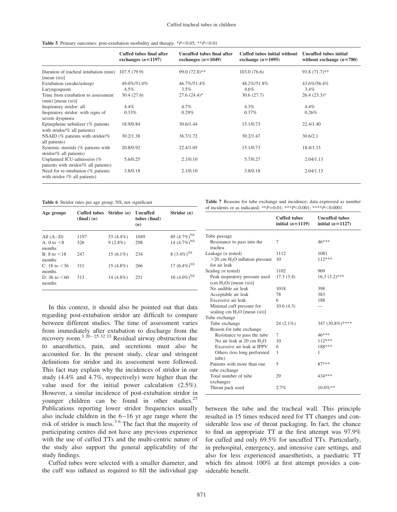|                                                                      | Cuffed tubes final after<br>exchanges $(n=1197)$ | Uncuffed tubes final after<br>exchanges $(n=1049)$ | Cuffed tubes initial without<br>exchange $(n=1095)$ | Uncuffed tubes initial<br>without exchange $(n=780)$ |
|----------------------------------------------------------------------|--------------------------------------------------|----------------------------------------------------|-----------------------------------------------------|------------------------------------------------------|
| Duration of tracheal intubation (min)<br>[mean (SD)]                 | 107.5(79.9)                                      | 99.0 (72.8)**                                      | 103.0(76.6)                                         | $93.8(71.7)$ **                                      |
| Extubation (awake/asleep)<br>Laryngospasm                            | 49.0%/51.0%<br>$4.5\%$                           | 46.7%/51.4%<br>$3.5\%$                             | 48.2%/51.8%<br>$4.6\%$                              | 43.6%/56.4%<br>$3.4\%$                               |
| Time from extubation to assessment<br>$(min)$ [mean $(sD)$ ]         | 30.4 (27.6)                                      | $27.6(24.4)$ *                                     | 30.6(27.7)                                          | $26.4(23.3)*$                                        |
| Inspiratory stridor: all                                             | $4.4\%$                                          | $4.7\%$                                            | $4.3\%$                                             | $4.4\%$                                              |
| Inspiratory stridor: with signs of<br>severe dyspnoea                | $0.33\%$                                         | $0.29\%$                                           | $0.37\%$                                            | 0.26%                                                |
| Epinephrine nebulizer (% patients<br>with stridor/% all patients)    | 18.9/0.84                                        | 30.6/1.44                                          | 15.1/0.73                                           | 22.4/1.40                                            |
| NSAID (% patients with stridor/%<br>all patients)                    | 30.2/1.38                                        | 36.7/1.72                                          | 30.2/1.47                                           | 30.6/2.1                                             |
| Systemic steroids (% patients with<br>stridor/% all patients)        | 20.8/0.92                                        | 22.4/1.05                                          | 15.1/0.73                                           | 18.4/1.15                                            |
| Unplanned ICU-admission (%<br>patients with stridor/% all patients)  | 5.6/0.25                                         | 2.1/0.10                                           | 5.7/0.27                                            | 2.04/1.13                                            |
| Need for re-intubation (% patients)<br>with stridor /% all patients) | 3.8/0.18                                         | 2.1/0.10                                           | 3.8/0.18                                            | 2.04/1.13                                            |

Table 5 Primary outcomes: post-extubation morbidity and therapy.  $*P<0.05$ ;  $*P<0.01$ 

Table 6 Stridor rates per age group. NS, not significant

| Age groups                            | <b>Cuffed tubes</b><br>(final)(n) | Stridor $(n)$ | Uncuffed<br>tubes (final)<br>(n) | Stridor $(n)$     |
|---------------------------------------|-----------------------------------|---------------|----------------------------------|-------------------|
| All $(A-D)$                           | 1197                              | 53 (4.4%)     | 1049                             | 49 $(4.7\%)^{NS}$ |
| A: 0 to $\leq 8$<br>months            | 326                               | $9(2.8\%)$    | 298                              | 14 $(4.7\%)^{NS}$ |
| B: 8 to < 18<br>months                | 247                               | $15(6.1\%)$   | 234                              | 8 $(3.4\%)^{NS}$  |
| $C: 18$ to $\leq 36$<br>months        | 311                               | $15(4.8\%)$   | 266                              | 17 $(6.4\%)^{NS}$ |
| D: $36 \text{ to } \leq 60$<br>months | 313                               | 14 (4.8%)     | 251                              | 10 $(4.0\%)^{NS}$ |

In this context, it should also be pointed out that data regarding post-extubation stridor are difficult to compare between different studies. The time of assessment varies from immediately after extubation to discharge from the recovery room.<sup>3 20 – 25 32 33</sup> Residual airway obstruction due to anaesthetics, pain, and secretions must also be accounted for. In the present study, clear and stringent definitions for stridor and its assessment were followed. This fact may explain why the incidences of stridor in our study (4.4% and 4.7%, respectively) were higher than the value used for the initial power calculation (2.5%). However, a similar incidence of post-extubation stridor in younger children can be found in other studies.<sup>25</sup> Publications reporting lower stridor frequencies usually also include children in the 6–16 yr age range where the risk of stridor is much less.<sup>36</sup> The fact that the majority of participating centres did not have any previous experience with the use of cuffed TTs and the multi-centric nature of the study also support the general applicability of the study findings.

Cuffed tubes were selected with a smaller diameter, and the cuff was inflated as required to fill the individual gap Table 7 Reasons for tube exchange and incidence; data expressed as number of incidents or as indicated. \*\*  $P=0.01$ ; \*\*\* $P<0.001$ ; \*\*\*\* $P<0.0001$ 

|                                                               | <b>Cuffed tubes</b><br>initial $(n=1119)$ | <b>Uncuffed tubes</b><br>initial $(n=1127)$ |
|---------------------------------------------------------------|-------------------------------------------|---------------------------------------------|
| Tube passage                                                  |                                           |                                             |
| Resistance to pass into the<br>trachea                        | 7                                         | 46***                                       |
| Leakage $(n$ tested)                                          | 1112                                      | 1081                                        |
| $>$ 20 cm H <sub>2</sub> O inflation pressure<br>for air leak | 10                                        | $112***$                                    |
| Sealing ( <i>n</i> tested)                                    | 1102                                      | 969                                         |
| Peak inspiratory pressure used<br>$(cm H2O)$ [mean $(sD)$ ]   | 17.3(3.4)                                 | $16.3(3.2)$ ***                             |
| No audible air leak                                           | 1018                                      | 398                                         |
| Acceptable air leak                                           | 78                                        | 383                                         |
| Excessive air leak                                            | 6                                         | 188                                         |
| Minimal cuff pressure for<br>sealing cm $H_2O$ [mean (sp)]    | 10.6(4.3)                                 |                                             |
| Tube exchange                                                 |                                           |                                             |
| Tube exchange                                                 | $24(2.1\%)$                               | 347 (30.8%)****                             |
| Reason for tube exchange                                      |                                           |                                             |
| Resistance to pass the tube                                   | 7                                         | 46***                                       |
| No air leak at $20 \text{ cm } H_2O$                          | 10                                        | $112***$                                    |
| Excessive air leak at IPPV                                    | 6                                         | 188***                                      |
| Others (too long preformed<br>tube)                           | 1                                         | 1                                           |
| Patients with more than one<br>tube exchange                  | 5                                         | 87***                                       |
| Total number of tube<br>exchanges                             | 29                                        | 434***                                      |
| Throat pack used                                              | 2.7%                                      | $10.0\%$ **                                 |

between the tube and the tracheal wall. This principle resulted in 15 times reduced need for TT changes and considerable less use of throat packaging. In fact, the chance to find an appropriate TT at the first attempt was 97.9% for cuffed and only 69.5% for uncuffed TTs. Particularly, in prehospital, emergency, and intensive care settings, and also for less experienced anaesthetists, a paediatric TT which fits almost 100% at first attempt provides a considerable benefit.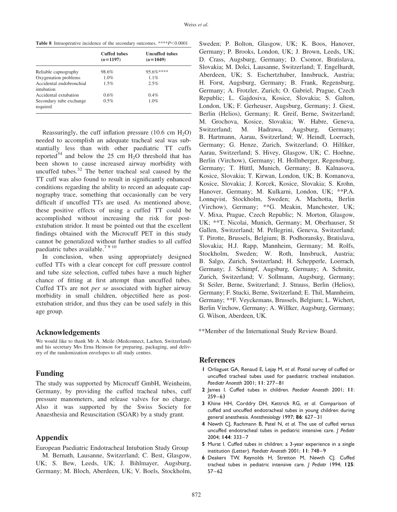|  |  |  |  |  |  | <b>Table 8</b> Intraoperative incidence of the secondary outcomes. *** $P \le 0.0001$ |
|--|--|--|--|--|--|---------------------------------------------------------------------------------------|
|--|--|--|--|--|--|---------------------------------------------------------------------------------------|

|                                        | <b>Cuffed tubes</b><br>$(n=1197)$ | <b>Uncuffed tubes</b><br>$(n=1049)$ |
|----------------------------------------|-----------------------------------|-------------------------------------|
| Reliable capnography                   | 98.6%                             | $95.6\%***$                         |
| Oxygenation problems                   | $1.0\%$                           | $1.1\%$                             |
| Accidental endobronchial<br>intubation | 1.5%                              | 2.5%                                |
| Accidental extubation                  | 0.6%                              | 0.4%                                |
| Secondary tube exchange<br>required    | 0.5%                              | 1.0%                                |

Reassuringly, the cuff inflation pressure  $(10.6 \text{ cm H}_2\text{O})$ needed to accomplish an adequate tracheal seal was substantially less than with other paediatric TT cuffs reported<sup>34</sup> and below the 25 cm  $H_2O$  threshold that has been shown to cause increased airway morbidity with uncuffed tubes. $32$  The better tracheal seal caused by the TT cuff was also found to result in significantly enhanced conditions regarding the ability to record an adequate capnography trace, something that occasionally can be very difficult if uncuffed TTs are used. As mentioned above, these positive effects of using a cuffed TT could be accomplished without increasing the risk for postextubation stridor. It must be pointed out that the excellent findings obtained with the Microcuff PET in this study cannot be generalized without further studies to all cuffed paediatric tubes available.7 9 10

In conclusion, when using appropriately designed cuffed TTs with a clear concept for cuff pressure control and tube size selection, cuffed tubes have a much higher chance of fitting at first attempt than uncuffed tubes. Cuffed TTs are not per se associated with higher airway morbidity in small children, objectified here as postextubation stridor, and thus they can be used safely in this age group.

## Acknowledgements

We would like to thank Mr A. Meile (Medconnect, Lachen, Switzerland) and his secretary Mrs Erna Heinson for preparing, packaging, and delivery of the randomization envelopes to all study centres.

#### Funding

The study was supported by Microcuff GmbH, Weinheim, Germany, by providing the cuffed tracheal tubes, cuff pressure manometers, and release valves for no charge. Also it was supported by the Swiss Society for Anaesthesia and Resuscitation (SGAR) by a study grant.

### Appendix

European Paediatric Endotracheal Intubation Study Group M. Bernath, Lausanne, Switzerland; C. Best, Glasgow, UK; S. Bew, Leeds, UK; J. Bihlmayer, Augsburg, Germany; M. Bloch, Aberdeen, UK; V. Boels, Stockholm, Sweden; P. Bolton, Glasgow, UK; K. Boos, Hanover, Germany; P. Brooks, London, UK; J. Brown, Leeds, UK; D. Crass, Augsburg, Germany; D. Csomor, Bratislava, Slovakia; M. Dolci, Lausanne, Switzerland; T. Engelhardt, Aberdeen, UK; S. Eschertzhuber, Innsbruck, Austria; H. Forst, Augsburg, Germany; B. Frank, Regensburg, Germany; A. Frotzler, Zurich; O. Gabriel, Prague, Czech Republic; L. Gajdosiva, Kosice, Slovakia; S. Galton, London, UK; F. Gerheuser, Augsburg, Germany; J. Giest, Berlin (Helios), Germany; R. Greif, Berne, Switzerland; M. Grochova, Kosice, Slovakia; W. Habre, Geneva, Switzerland; M. Hadrawa, Augsburg, Germany; B. Hartmann, Aarau, Switzerland; W. Heindl, Loerrach, Germany; G. Henze, Zurich, Switzerland; O. Hilfiker, Aarau, Switzerland; S. Hivey, Glasgow, UK; C. Hoehne, Berlin (Virchow), Germany; H. Hollnberger, Regensburg, Germany; T. Hüttl, Munich, Germany; B. Kalnasova, Kosice, Slovakia; T. Kirwan, London, UK; B. Komanova, Kosice, Slovakia; J. Korcek, Kosice, Slovakia; S. Krohn, Hanover, Germany; M. Kulkarni, London, UK; \*\*P.A. Lonnqvist, Stockholm, Sweden; A. Machotta, Berlin (Virchow), Germany; \*\*G. Meakin, Manchester, UK; V. Mixa, Prague, Czech Republic; N. Morton, Glasgow, UK; \*\*T. Nicolai, Munich, Germany; M. Oberhauser, St Gallen, Switzerland; M. Pellegrini, Geneva, Switzerland; T. Pirotte, Brussels, Belgium; B. Podhoransky, Bratislava, Slovakia; H.J. Rapp, Mannheim, Germany; M. Rolfs, Stockholm, Sweden; W. Roth, Innsbruck, Austria; B. Salgo, Zurich, Switzerland; H. Schepperle, Loerrach, Germany; J. Schimpf, Augsburg, Germany; A. Schmitz, Zurich, Switzerland; V. Sollmann, Augsburg, Germany; St Seiler, Berne, Switzerland; J. Strauss, Berlin (Helios), Germany; F. Stucki, Berne, Switzerland; E. Thil, Mannheim, Germany; \*\*F. Veyckemans, Brussels, Belgium; L. Wichert, Berlin Virchow, Germany; A. Willker, Augsburg, Germany; G. Wilson, Aberdeen, UK.

\*\*Member of the International Study Review Board.

#### References

- 1 Orliaguet GA, Renaud E, Lejay M, et al. Postal survey of cuffed or uncuffed tracheal tubes used for paediatric tracheal intubation. Paediatr Anaesth 2001; 11: 277–81
- 2 James I. Cuffed tubes in children. Paediatr Anaesth 2001; 11: 259–63
- 3 Khine HH, Corddry DH, Kettrick RG, et al. Comparison of cuffed and uncuffed endotracheal tubes in young children during general anesthesia. Anesthesiology 1997; 86: 627–31
- 4 Newth CJ, Rachmann B, Patel N, et al. The use of cuffed versus uncuffed endotracheal tubes in pediatric intensive care. J Pediatr 2004; 144: 333–7
- 5 Murat I. Cuffed tubes in children: a 3-year experience in a single institution (Letter). Paediatr Anaesth 2001; 11: 748–9
- 6 Deakers TW, Reynolds H, Stretton M, Newth CJ. Cuffed tracheal tubes in pediatric intensive care. *| Pediatr* 1994; 125: 57–62